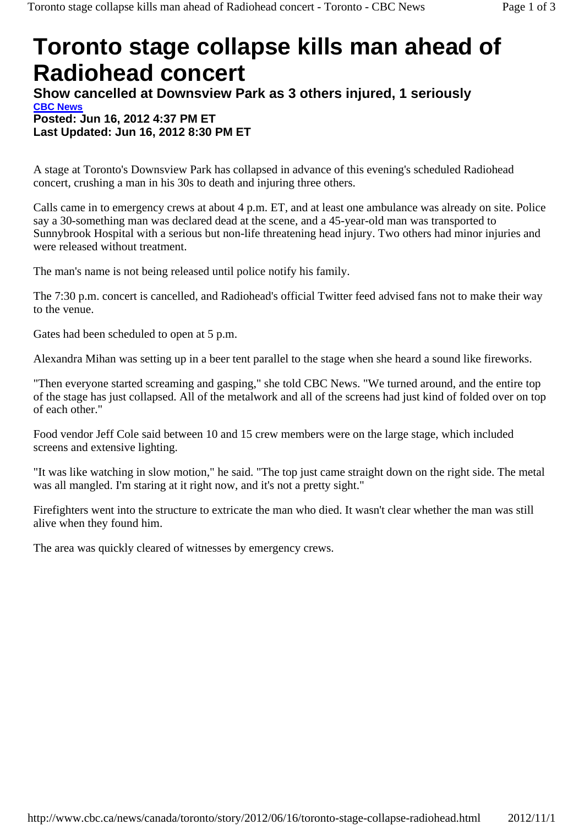## **Toronto stage collapse kills man ahead of Radiohead concert**

**Show cancelled at Downsview Park as 3 others injured, 1 seriously CBC News Posted: Jun 16, 2012 4:37 PM ET Last Updated: Jun 16, 2012 8:30 PM ET** 

A stage at Toronto's Downsview Park has collapsed in advance of this evening's scheduled Radiohead concert, crushing a man in his 30s to death and injuring three others.

Calls came in to emergency crews at about 4 p.m. ET, and at least one ambulance was already on site. Police say a 30-something man was declared dead at the scene, and a 45-year-old man was transported to Sunnybrook Hospital with a serious but non-life threatening head injury. Two others had minor injuries and were released without treatment.

The man's name is not being released until police notify his family.

The 7:30 p.m. concert is cancelled, and Radiohead's official Twitter feed advised fans not to make their way to the venue.

Gates had been scheduled to open at 5 p.m.

Alexandra Mihan was setting up in a beer tent parallel to the stage when she heard a sound like fireworks.

"Then everyone started screaming and gasping," she told CBC News. "We turned around, and the entire top of the stage has just collapsed. All of the metalwork and all of the screens had just kind of folded over on top of each other."

Food vendor Jeff Cole said between 10 and 15 crew members were on the large stage, which included screens and extensive lighting.

"It was like watching in slow motion," he said. "The top just came straight down on the right side. The metal was all mangled. I'm staring at it right now, and it's not a pretty sight."

Firefighters went into the structure to extricate the man who died. It wasn't clear whether the man was still alive when they found him.

The area was quickly cleared of witnesses by emergency crews.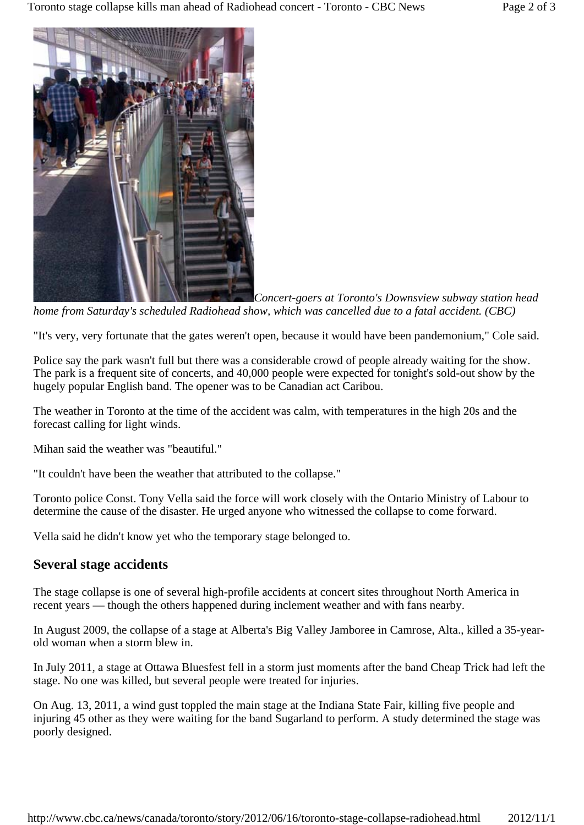

*Concert-goers at Toronto's Downsview subway station head home from Saturday's scheduled Radiohead show, which was cancelled due to a fatal accident. (CBC)*

"It's very, very fortunate that the gates weren't open, because it would have been pandemonium," Cole said.

Police say the park wasn't full but there was a considerable crowd of people already waiting for the show. The park is a frequent site of concerts, and 40,000 people were expected for tonight's sold-out show by the hugely popular English band. The opener was to be Canadian act Caribou.

The weather in Toronto at the time of the accident was calm, with temperatures in the high 20s and the forecast calling for light winds.

Mihan said the weather was "beautiful."

"It couldn't have been the weather that attributed to the collapse."

Toronto police Const. Tony Vella said the force will work closely with the Ontario Ministry of Labour to determine the cause of the disaster. He urged anyone who witnessed the collapse to come forward.

Vella said he didn't know yet who the temporary stage belonged to.

## **Several stage accidents**

The stage collapse is one of several high-profile accidents at concert sites throughout North America in recent years — though the others happened during inclement weather and with fans nearby.

In August 2009, the collapse of a stage at Alberta's Big Valley Jamboree in Camrose, Alta., killed a 35-yearold woman when a storm blew in.

In July 2011, a stage at Ottawa Bluesfest fell in a storm just moments after the band Cheap Trick had left the stage. No one was killed, but several people were treated for injuries.

On Aug. 13, 2011, a wind gust toppled the main stage at the Indiana State Fair, killing five people and injuring 45 other as they were waiting for the band Sugarland to perform. A study determined the stage was poorly designed.